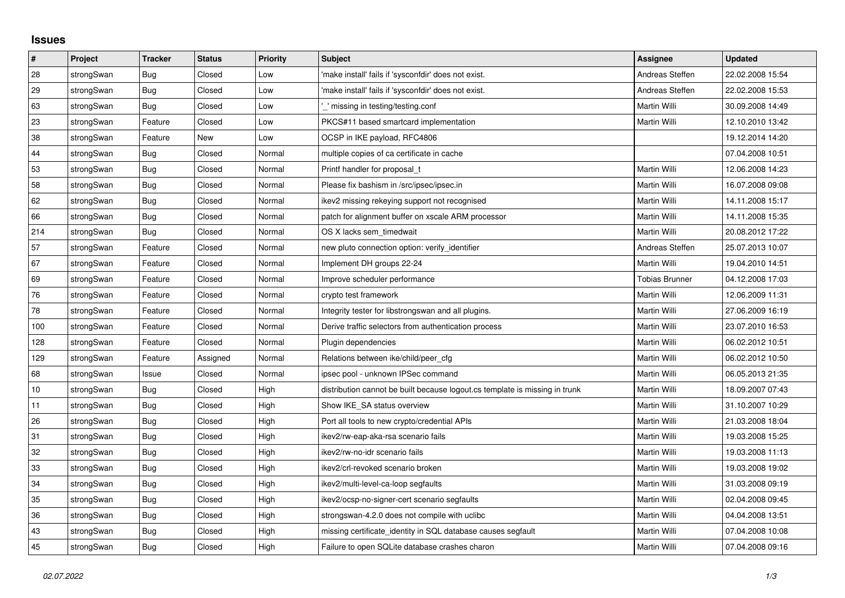## **Issues**

| #   | Project    | <b>Tracker</b> | <b>Status</b> | Priority | <b>Subject</b>                                                              | <b>Assignee</b> | <b>Updated</b>   |
|-----|------------|----------------|---------------|----------|-----------------------------------------------------------------------------|-----------------|------------------|
| 28  | strongSwan | Bug            | Closed        | Low      | 'make install' fails if 'sysconfdir' does not exist.                        | Andreas Steffen | 22.02.2008 15:54 |
| 29  | strongSwan | Bug            | Closed        | Low      | 'make install' fails if 'sysconfdir' does not exist.                        | Andreas Steffen | 22.02.2008 15:53 |
| 63  | strongSwan | Bug            | Closed        | Low      | missing in testing/testing.conf                                             | Martin Willi    | 30.09.2008 14:49 |
| 23  | strongSwan | Feature        | Closed        | Low      | PKCS#11 based smartcard implementation                                      | Martin Willi    | 12.10.2010 13:42 |
| 38  | strongSwan | Feature        | <b>New</b>    | Low      | OCSP in IKE payload, RFC4806                                                |                 | 19.12.2014 14:20 |
| 44  | strongSwan | Bug            | Closed        | Normal   | multiple copies of ca certificate in cache                                  |                 | 07.04.2008 10:51 |
| 53  | strongSwan | Bug            | Closed        | Normal   | Printf handler for proposal t                                               | Martin Willi    | 12.06.2008 14:23 |
| 58  | strongSwan | Bug            | Closed        | Normal   | Please fix bashism in /src/ipsec/ipsec.in                                   | Martin Willi    | 16.07.2008 09:08 |
| 62  | strongSwan | Bug            | Closed        | Normal   | ikev2 missing rekeying support not recognised                               | Martin Willi    | 14.11.2008 15:17 |
| 66  | strongSwan | Bug            | Closed        | Normal   | patch for alignment buffer on xscale ARM processor                          | Martin Willi    | 14.11.2008 15:35 |
| 214 | strongSwan | Bug            | Closed        | Normal   | OS X lacks sem_timedwait                                                    | Martin Willi    | 20.08.2012 17:22 |
| 57  | strongSwan | Feature        | Closed        | Normal   | new pluto connection option: verify identifier                              | Andreas Steffen | 25.07.2013 10:07 |
| 67  | strongSwan | Feature        | Closed        | Normal   | Implement DH groups 22-24                                                   | Martin Willi    | 19.04.2010 14:51 |
| 69  | strongSwan | Feature        | Closed        | Normal   | Improve scheduler performance                                               | Tobias Brunner  | 04.12.2008 17:03 |
| 76  | strongSwan | Feature        | Closed        | Normal   | crypto test framework                                                       | Martin Willi    | 12.06.2009 11:31 |
| 78  | strongSwan | Feature        | Closed        | Normal   | Integrity tester for libstrongswan and all plugins.                         | Martin Willi    | 27.06.2009 16:19 |
| 100 | strongSwan | Feature        | Closed        | Normal   | Derive traffic selectors from authentication process                        | Martin Willi    | 23.07.2010 16:53 |
| 128 | strongSwan | Feature        | Closed        | Normal   | Plugin dependencies                                                         | Martin Willi    | 06.02.2012 10:51 |
| 129 | strongSwan | Feature        | Assigned      | Normal   | Relations between ike/child/peer cfg                                        | Martin Willi    | 06.02.2012 10:50 |
| 68  | strongSwan | Issue          | Closed        | Normal   | ipsec pool - unknown IPSec command                                          | Martin Willi    | 06.05.2013 21:35 |
| 10  | strongSwan | Bug            | Closed        | High     | distribution cannot be built because logout.cs template is missing in trunk | Martin Willi    | 18.09.2007 07:43 |
| 11  | strongSwan | Bug            | Closed        | High     | Show IKE SA status overview                                                 | Martin Willi    | 31.10.2007 10:29 |
| 26  | strongSwan | Bug            | Closed        | High     | Port all tools to new crypto/credential APIs                                | Martin Willi    | 21.03.2008 18:04 |
| 31  | strongSwan | Bug            | Closed        | High     | ikev2/rw-eap-aka-rsa scenario fails                                         | Martin Willi    | 19.03.2008 15:25 |
| 32  | strongSwan | Bug            | Closed        | High     | ikev2/rw-no-idr scenario fails                                              | Martin Willi    | 19.03.2008 11:13 |
| 33  | strongSwan | Bug            | Closed        | High     | ikev2/crl-revoked scenario broken                                           | Martin Willi    | 19.03.2008 19:02 |
| 34  | strongSwan | Bug            | Closed        | High     | ikev2/multi-level-ca-loop segfaults                                         | Martin Willi    | 31.03.2008 09:19 |
| 35  | strongSwan | Bug            | Closed        | High     | ikev2/ocsp-no-signer-cert scenario segfaults                                | Martin Willi    | 02.04.2008 09:45 |
| 36  | strongSwan | Bug            | Closed        | High     | strongswan-4.2.0 does not compile with uclibc                               | Martin Willi    | 04.04.2008 13:51 |
| 43  | strongSwan | Bug            | Closed        | High     | missing certificate identity in SQL database causes segfault                | Martin Willi    | 07.04.2008 10:08 |
| 45  | strongSwan | <b>Bug</b>     | Closed        | High     | Failure to open SQLite database crashes charon                              | Martin Willi    | 07.04.2008 09:16 |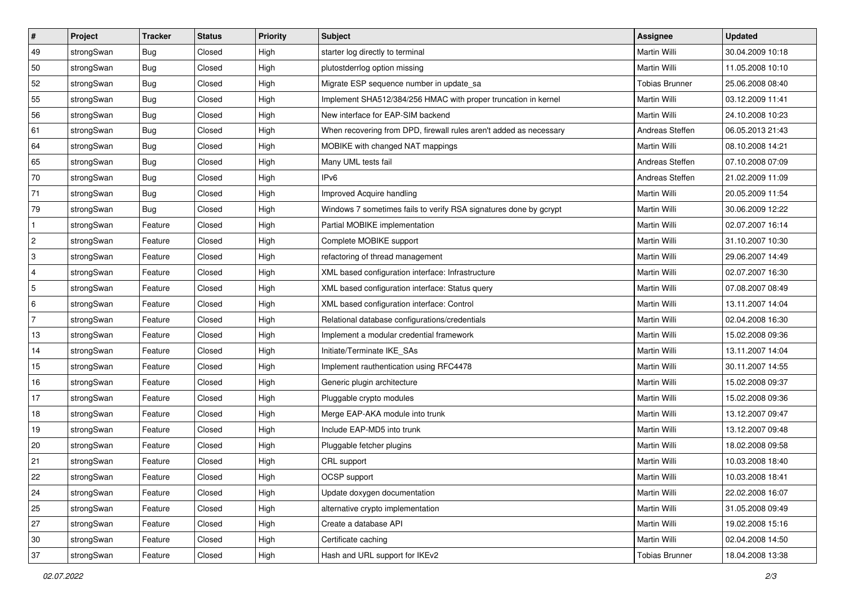| $\vert$ #    | Project    | <b>Tracker</b> | <b>Status</b> | <b>Priority</b> | <b>Subject</b>                                                     | <b>Assignee</b>       | <b>Updated</b>   |
|--------------|------------|----------------|---------------|-----------------|--------------------------------------------------------------------|-----------------------|------------------|
| 49           | strongSwan | Bug            | Closed        | High            | starter log directly to terminal                                   | Martin Willi          | 30.04.2009 10:18 |
| 50           | strongSwan | Bug            | Closed        | High            | plutostderrlog option missing                                      | <b>Martin Willi</b>   | 11.05.2008 10:10 |
| 52           | strongSwan | <b>Bug</b>     | Closed        | High            | Migrate ESP sequence number in update sa                           | <b>Tobias Brunner</b> | 25.06.2008 08:40 |
| 55           | strongSwan | <b>Bug</b>     | Closed        | High            | Implement SHA512/384/256 HMAC with proper truncation in kernel     | Martin Willi          | 03.12.2009 11:41 |
| 56           | strongSwan | Bug            | Closed        | High            | New interface for EAP-SIM backend                                  | Martin Willi          | 24.10.2008 10:23 |
| 61           | strongSwan | Bug            | Closed        | High            | When recovering from DPD, firewall rules aren't added as necessary | Andreas Steffen       | 06.05.2013 21:43 |
| 64           | strongSwan | Bug            | Closed        | High            | MOBIKE with changed NAT mappings                                   | <b>Martin Willi</b>   | 08.10.2008 14:21 |
| 65           | strongSwan | Bug            | Closed        | High            | Many UML tests fail                                                | Andreas Steffen       | 07.10.2008 07:09 |
| 70           | strongSwan | <b>Bug</b>     | Closed        | High            | IP <sub>v6</sub>                                                   | Andreas Steffen       | 21.02.2009 11:09 |
| 71           | strongSwan | Bug            | Closed        | High            | Improved Acquire handling                                          | Martin Willi          | 20.05.2009 11:54 |
| 79           | strongSwan | Bug            | Closed        | High            | Windows 7 sometimes fails to verify RSA signatures done by gcrypt  | Martin Willi          | 30.06.2009 12:22 |
| $\mathbf{1}$ | strongSwan | Feature        | Closed        | High            | Partial MOBIKE implementation                                      | Martin Willi          | 02.07.2007 16:14 |
| 2            | strongSwan | Feature        | Closed        | High            | Complete MOBIKE support                                            | <b>Martin Willi</b>   | 31.10.2007 10:30 |
| 3            | strongSwan | Feature        | Closed        | High            | refactoring of thread management                                   | Martin Willi          | 29.06.2007 14:49 |
| 4            | strongSwan | Feature        | Closed        | High            | XML based configuration interface: Infrastructure                  | <b>Martin Willi</b>   | 02.07.2007 16:30 |
| 5            | strongSwan | Feature        | Closed        | High            | XML based configuration interface: Status query                    | Martin Willi          | 07.08.2007 08:49 |
| 6            | strongSwan | Feature        | Closed        | High            | XML based configuration interface: Control                         | <b>Martin Willi</b>   | 13.11.2007 14:04 |
| 7            | strongSwan | Feature        | Closed        | High            | Relational database configurations/credentials                     | Martin Willi          | 02.04.2008 16:30 |
| 13           | strongSwan | Feature        | Closed        | High            | Implement a modular credential framework                           | Martin Willi          | 15.02.2008 09:36 |
| 14           | strongSwan | Feature        | Closed        | High            | Initiate/Terminate IKE_SAs                                         | <b>Martin Willi</b>   | 13.11.2007 14:04 |
| 15           | strongSwan | Feature        | Closed        | High            | Implement rauthentication using RFC4478                            | Martin Willi          | 30.11.2007 14:55 |
| 16           | strongSwan | Feature        | Closed        | High            | Generic plugin architecture                                        | Martin Willi          | 15.02.2008 09:37 |
| 17           | strongSwan | Feature        | Closed        | High            | Pluggable crypto modules                                           | Martin Willi          | 15.02.2008 09:36 |
| 18           | strongSwan | Feature        | Closed        | High            | Merge EAP-AKA module into trunk                                    | Martin Willi          | 13.12.2007 09:47 |
| 19           | strongSwan | Feature        | Closed        | High            | Include EAP-MD5 into trunk                                         | Martin Willi          | 13.12.2007 09:48 |
| 20           | strongSwan | Feature        | Closed        | High            | Pluggable fetcher plugins                                          | Martin Willi          | 18.02.2008 09:58 |
| 21           | strongSwan | Feature        | Closed        | High            | CRL support                                                        | Martin Willi          | 10.03.2008 18:40 |
| 22           | strongSwan | Feature        | Closed        | High            | OCSP support                                                       | Martin Willi          | 10.03.2008 18:41 |
| 24           | strongSwan | Feature        | Closed        | High            | Update doxygen documentation                                       | Martin Willi          | 22.02.2008 16:07 |
| 25           | strongSwan | Feature        | Closed        | High            | alternative crypto implementation                                  | Martin Willi          | 31.05.2008 09:49 |
| 27           | strongSwan | Feature        | Closed        | High            | Create a database API                                              | Martin Willi          | 19.02.2008 15:16 |
| 30           | strongSwan | Feature        | Closed        | High            | Certificate caching                                                | Martin Willi          | 02.04.2008 14:50 |
| 37           | strongSwan | Feature        | Closed        | High            | Hash and URL support for IKEv2                                     | <b>Tobias Brunner</b> | 18.04.2008 13:38 |